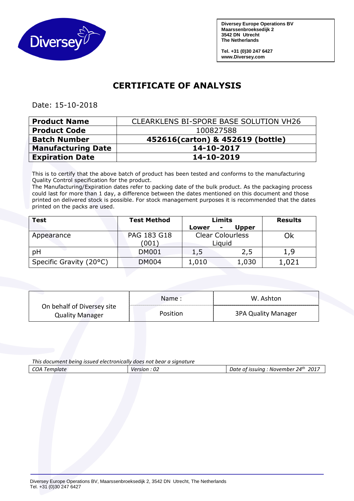

**Diversey Europe Operations BV Maarssenbroeksedijk 2 3542 DN Utrecht The Netherlands** 

**Tel. +31 (0)30 247 6427 www.Diversey.com**

## **CERTIFICATE OF ANALYSIS**

Date: 15-10-2018

| <b>Product Name</b>       | <b>CLEARKLENS BI-SPORE BASE SOLUTION VH26</b> |  |
|---------------------------|-----------------------------------------------|--|
| <b>Product Code</b>       | 100827588                                     |  |
| <b>Batch Number</b>       | 452616(carton) & 452619 (bottle)              |  |
| <b>Manufacturing Date</b> | 14-10-2017                                    |  |
| <b>Expiration Date</b>    | 14-10-2019                                    |  |

This is to certify that the above batch of product has been tested and conforms to the manufacturing Quality Control specification for the product.

The Manufacturing/Expiration dates refer to packing date of the bulk product. As the packaging process could last for more than 1 day, a difference between the dates mentioned on this document and those printed on delivered stock is possible. For stock management purposes it is recommended that the dates printed on the packs are used.

| Test                    | <b>Test Method</b> | Limits                  |              | <b>Results</b> |
|-------------------------|--------------------|-------------------------|--------------|----------------|
|                         |                    | Lower                   | <b>Upper</b> |                |
| Appearance              | PAG 183 G18        | <b>Clear Colourless</b> |              | Ok             |
|                         | (001)              | Liguid                  |              |                |
| pH                      | <b>DM001</b>       | 1,5                     | 2,5          | 1,9            |
| Specific Gravity (20°C) | <b>DM004</b>       | 1,010                   | 1,030        | 1,021          |

|                                                      | Name:    | W. Ashton                  |
|------------------------------------------------------|----------|----------------------------|
| On behalf of Diversey site<br><b>Quality Manager</b> | Position | <b>3PA Quality Manager</b> |

*This document being issued electronically does not bear a signature* 

| COA "<br>Template | $\sim$<br>Version<br>∸U∠ | .24 <sup>th</sup><br>2017<br>Date of issuina<br>November |
|-------------------|--------------------------|----------------------------------------------------------|
|                   |                          |                                                          |